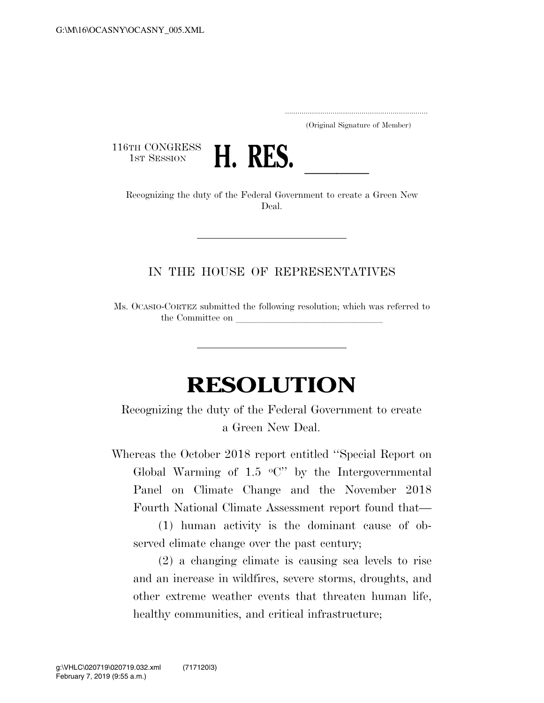..................................................................... (Original Signature of Member)

116TH CONGRESS<br>1st Session



1st SESSION **H. KES.**<br>Recognizing the duty of the Federal Government to create a Green New Deal.

## IN THE HOUSE OF REPRESENTATIVES

Ms. OCASIO-CORTEZ submitted the following resolution; which was referred to the Committee on

## **RESOLUTION**

Recognizing the duty of the Federal Government to create a Green New Deal.

Whereas the October 2018 report entitled ''Special Report on Global Warming of 1.5  $\,^{\circ}$ C" by the Intergovernmental Panel on Climate Change and the November 2018 Fourth National Climate Assessment report found that—

(1) human activity is the dominant cause of observed climate change over the past century;

(2) a changing climate is causing sea levels to rise and an increase in wildfires, severe storms, droughts, and other extreme weather events that threaten human life, healthy communities, and critical infrastructure;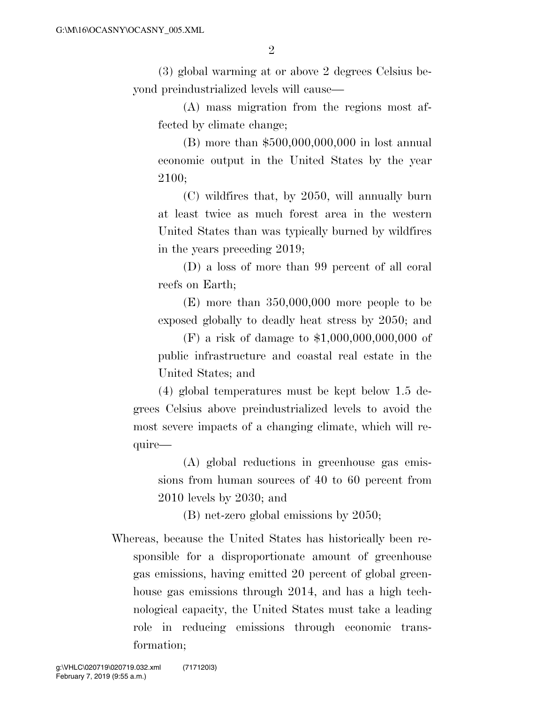(3) global warming at or above 2 degrees Celsius beyond preindustrialized levels will cause—

(A) mass migration from the regions most affected by climate change;

(B) more than \$500,000,000,000 in lost annual economic output in the United States by the year 2100;

(C) wildfires that, by 2050, will annually burn at least twice as much forest area in the western United States than was typically burned by wildfires in the years preceding 2019;

(D) a loss of more than 99 percent of all coral reefs on Earth;

(E) more than 350,000,000 more people to be exposed globally to deadly heat stress by 2050; and

(F) a risk of damage to \$1,000,000,000,000 of public infrastructure and coastal real estate in the United States; and

(4) global temperatures must be kept below 1.5 degrees Celsius above preindustrialized levels to avoid the most severe impacts of a changing climate, which will require—

(A) global reductions in greenhouse gas emissions from human sources of 40 to 60 percent from 2010 levels by 2030; and

(B) net-zero global emissions by 2050;

Whereas, because the United States has historically been responsible for a disproportionate amount of greenhouse gas emissions, having emitted 20 percent of global greenhouse gas emissions through 2014, and has a high technological capacity, the United States must take a leading role in reducing emissions through economic transformation;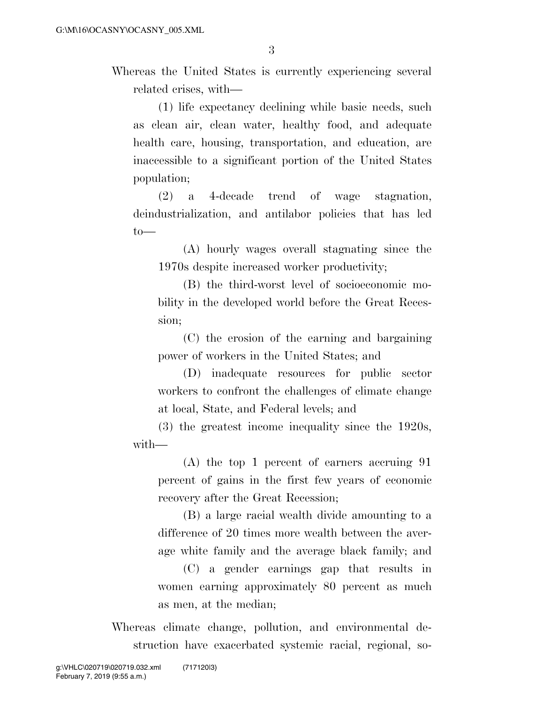Whereas the United States is currently experiencing several related crises, with—

(1) life expectancy declining while basic needs, such as clean air, clean water, healthy food, and adequate health care, housing, transportation, and education, are inaccessible to a significant portion of the United States population;

(2) a 4-decade trend of wage stagnation, deindustrialization, and antilabor policies that has led  $to$ —

(A) hourly wages overall stagnating since the 1970s despite increased worker productivity;

(B) the third-worst level of socioeconomic mobility in the developed world before the Great Recession;

(C) the erosion of the earning and bargaining power of workers in the United States; and

(D) inadequate resources for public sector workers to confront the challenges of climate change at local, State, and Federal levels; and

(3) the greatest income inequality since the 1920s, with—

(A) the top 1 percent of earners accruing 91 percent of gains in the first few years of economic recovery after the Great Recession;

(B) a large racial wealth divide amounting to a difference of 20 times more wealth between the average white family and the average black family; and

(C) a gender earnings gap that results in women earning approximately 80 percent as much as men, at the median;

Whereas climate change, pollution, and environmental destruction have exacerbated systemic racial, regional, so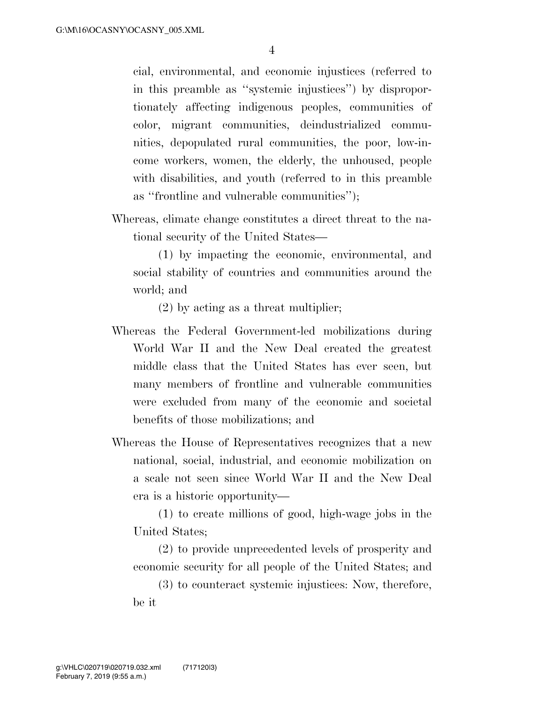cial, environmental, and economic injustices (referred to in this preamble as ''systemic injustices'') by disproportionately affecting indigenous peoples, communities of color, migrant communities, deindustrialized communities, depopulated rural communities, the poor, low-income workers, women, the elderly, the unhoused, people with disabilities, and youth (referred to in this preamble as ''frontline and vulnerable communities'');

Whereas, climate change constitutes a direct threat to the national security of the United States—

(1) by impacting the economic, environmental, and social stability of countries and communities around the world; and

(2) by acting as a threat multiplier;

- Whereas the Federal Government-led mobilizations during World War II and the New Deal created the greatest middle class that the United States has ever seen, but many members of frontline and vulnerable communities were excluded from many of the economic and societal benefits of those mobilizations; and
- Whereas the House of Representatives recognizes that a new national, social, industrial, and economic mobilization on a scale not seen since World War II and the New Deal era is a historic opportunity—

(1) to create millions of good, high-wage jobs in the United States;

(2) to provide unprecedented levels of prosperity and economic security for all people of the United States; and

(3) to counteract systemic injustices: Now, therefore, be it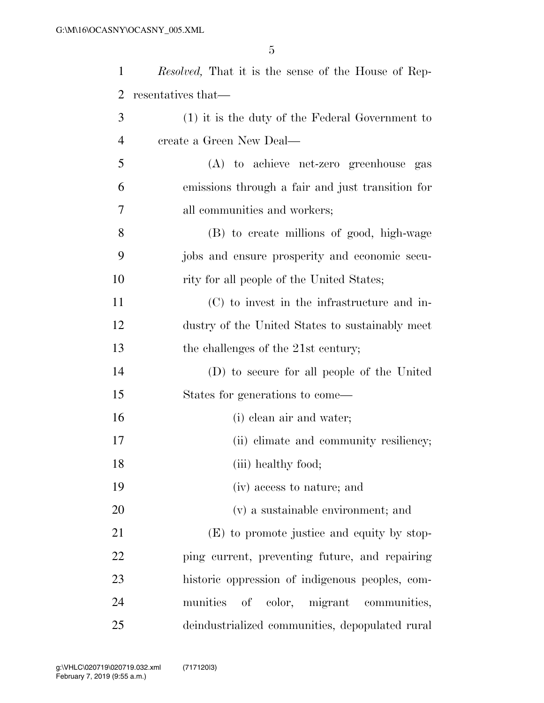| $\mathbf{1}$   | <i>Resolved</i> , That it is the sense of the House of Rep- |
|----------------|-------------------------------------------------------------|
| 2              | resentatives that—                                          |
| 3              | $(1)$ it is the duty of the Federal Government to           |
| $\overline{4}$ | create a Green New Deal—                                    |
| 5              | (A) to achieve net-zero greenhouse gas                      |
| 6              | emissions through a fair and just transition for            |
| 7              | all communities and workers;                                |
| 8              | (B) to create millions of good, high-wage                   |
| 9              | jobs and ensure prosperity and economic secu-               |
| 10             | rity for all people of the United States;                   |
| 11             | (C) to invest in the infrastructure and in-                 |
| 12             | dustry of the United States to sustainably meet             |
| 13             | the challenges of the 21st century;                         |
| 14             | (D) to secure for all people of the United                  |
| 15             | States for generations to come—                             |
| 16             | (i) clean air and water;                                    |
| 17             | (ii) climate and community resiliency;                      |
| 18             | (iii) healthy food;                                         |
| 19             | (iv) access to nature; and                                  |
| 20             | (v) a sustainable environment; and                          |
| 21             | (E) to promote justice and equity by stop-                  |
| 22             | ping current, preventing future, and repairing              |
| 23             | historic oppression of indigenous peoples, com-             |
| 24             | munities<br>of color, migrant communities,                  |
| 25             | deindustrialized communities, depopulated rural             |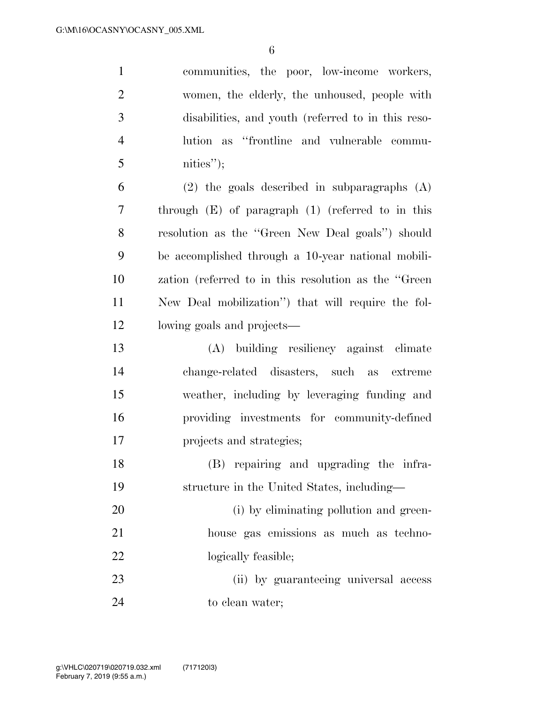communities, the poor, low-income workers, women, the elderly, the unhoused, people with disabilities, and youth (referred to in this reso- lution as ''frontline and vulnerable commu- nities"); (2) the goals described in subparagraphs (A) through (E) of paragraph (1) (referred to in this resolution as the ''Green New Deal goals'') should

 be accomplished through a 10-year national mobili- zation (referred to in this resolution as the ''Green New Deal mobilization'') that will require the fol-lowing goals and projects—

 (A) building resiliency against climate change-related disasters, such as extreme weather, including by leveraging funding and providing investments for community-defined projects and strategies;

 (B) repairing and upgrading the infra-structure in the United States, including—

20 (i) by eliminating pollution and green- house gas emissions as much as techno-22 logically feasible;

 (ii) by guaranteeing universal access 24 to clean water;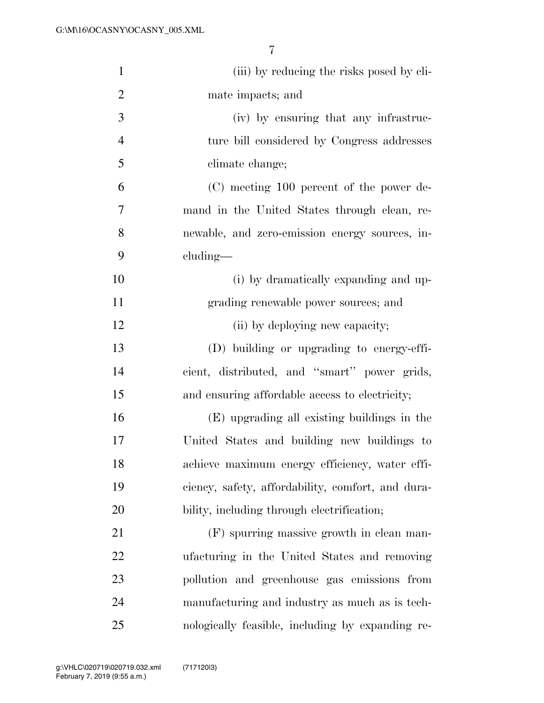| $\mathbf{1}$   | (iii) by reducing the risks posed by cli-         |
|----------------|---------------------------------------------------|
| 2              | mate impacts; and                                 |
| 3              | (iv) by ensuring that any infrastruc-             |
| $\overline{4}$ | ture bill considered by Congress addresses        |
| 5              | climate change;                                   |
| 6              | (C) meeting 100 percent of the power de-          |
| 7              | mand in the United States through clean, re-      |
| 8              | newable, and zero-emission energy sources, in-    |
| 9              | cluding—                                          |
| 10             | (i) by dramatically expanding and up-             |
| 11             | grading renewable power sources; and              |
| 12             | (ii) by deploying new capacity;                   |
| 13             | (D) building or upgrading to energy-effi-         |
| 14             | cient, distributed, and "smart" power grids,      |
| 15             | and ensuring affordable access to electricity;    |
| 16             | (E) upgrading all existing buildings in the       |
| 17             | United States and building new buildings to       |
| 18             | achieve maximum energy efficiency, water effi-    |
| 19             | ciency, safety, affordability, comfort, and dura- |
| 20             | bility, including through electrification;        |
| 21             | (F) spurring massive growth in clean man-         |
| 22             | ufacturing in the United States and removing      |
| 23             | pollution and greenhouse gas emissions from       |
| 24             | manufacturing and industry as much as is tech-    |
| 25             | nologically feasible, including by expanding re-  |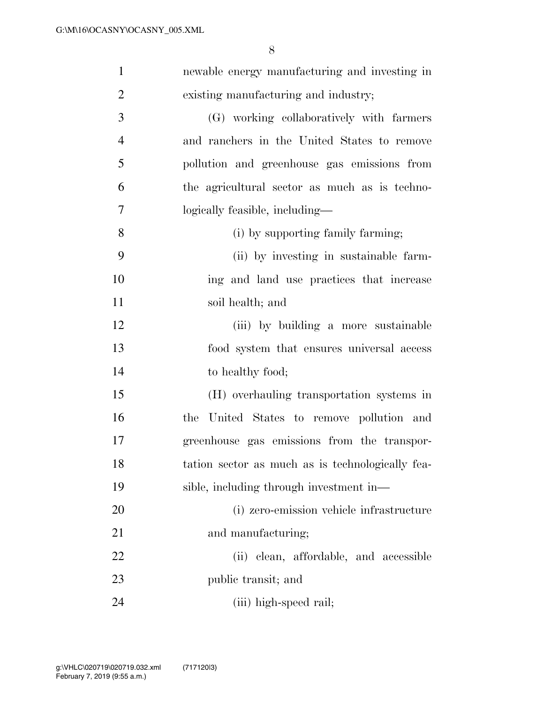| $\mathbf{1}$   | newable energy manufacturing and investing in    |
|----------------|--------------------------------------------------|
| $\overline{2}$ | existing manufacturing and industry;             |
| 3              | (G) working collaboratively with farmers         |
| $\overline{4}$ | and ranchers in the United States to remove      |
| 5              | pollution and greenhouse gas emissions from      |
| 6              | the agricultural sector as much as is techno-    |
| 7              | logically feasible, including-                   |
| 8              | (i) by supporting family farming;                |
| 9              | (ii) by investing in sustainable farm-           |
| 10             | ing and land use practices that increase         |
| 11             | soil health; and                                 |
| 12             | (iii) by building a more sustainable             |
| 13             | food system that ensures universal access        |
| 14             | to healthy food;                                 |
| 15             | (H) overhauling transportation systems in        |
| 16             | United States to remove pollution and<br>the     |
| 17             | greenhouse gas emissions from the transpor-      |
| 18             | tation sector as much as is technologically fea- |
| 19             | sible, including through investment in—          |
| 20             | (i) zero-emission vehicle infrastructure         |
| 21             | and manufacturing;                               |
| 22             | (ii) clean, affordable, and accessible           |
| 23             | public transit; and                              |
| 24             | (iii) high-speed rail;                           |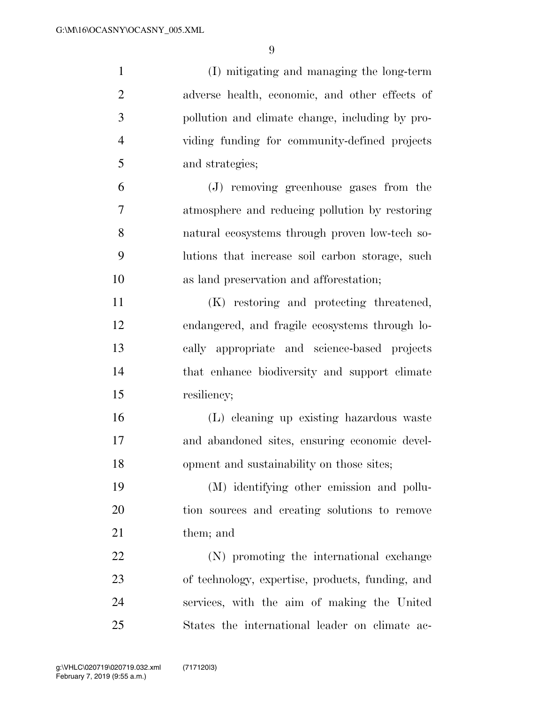| $\mathbf{1}$   | (I) mitigating and managing the long-term        |
|----------------|--------------------------------------------------|
| $\overline{2}$ | adverse health, economic, and other effects of   |
| 3              | pollution and climate change, including by pro-  |
| $\overline{4}$ | viding funding for community-defined projects    |
| 5              | and strategies;                                  |
| 6              | (J) removing greenhouse gases from the           |
| 7              | atmosphere and reducing pollution by restoring   |
| 8              | natural ecosystems through proven low-tech so-   |
| 9              | lutions that increase soil carbon storage, such  |
| 10             | as land preservation and afforestation;          |
| 11             | (K) restoring and protecting threatened,         |
| 12             | endangered, and fragile ecosystems through lo-   |
| 13             | cally appropriate and science-based projects     |
| 14             | that enhance biodiversity and support climate    |
| 15             | resiliency;                                      |
| 16             | (L) cleaning up existing hazardous waste         |
| 17             | and abandoned sites, ensuring economic devel-    |
| 18             | opment and sustainability on those sites;        |
| 19             | (M) identifying other emission and pollu-        |
| 20             | tion sources and creating solutions to remove    |
| 21             | them; and                                        |
| 22             | (N) promoting the international exchange         |
| 23             | of technology, expertise, products, funding, and |
| 24             | services, with the aim of making the United      |
| 25             | States the international leader on climate ac-   |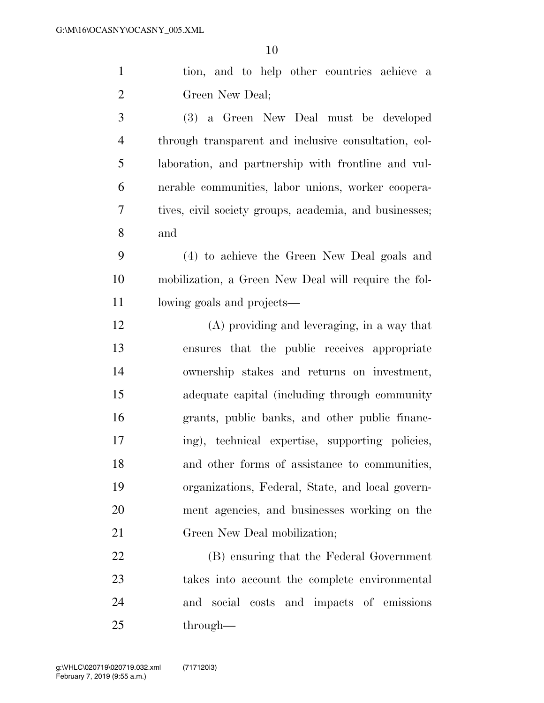| $\mathbf{1}$   | tion, and to help other countries achieve a            |
|----------------|--------------------------------------------------------|
| $\overline{2}$ | Green New Deal;                                        |
| 3              | (3) a Green New Deal must be developed                 |
| $\overline{4}$ | through transparent and inclusive consultation, col-   |
| 5              | laboration, and partnership with frontline and vul-    |
| 6              | nerable communities, labor unions, worker coopera-     |
| 7              | tives, civil society groups, academia, and businesses; |
| 8              | and                                                    |
| 9              | (4) to achieve the Green New Deal goals and            |
| 10             | mobilization, a Green New Deal will require the fol-   |
| 11             | lowing goals and projects—                             |
| 12             | $(A)$ providing and leveraging, in a way that          |
| 13             | ensures that the public receives appropriate           |
| 14             | ownership stakes and returns on investment,            |
| 15             | adequate capital (including through community          |
| 16             | grants, public banks, and other public financ-         |
| 17             | ing), technical expertise, supporting policies,        |
| 18             | and other forms of assistance to communities,          |
| 19             | organizations, Federal, State, and local govern-       |
| 20             | ment agencies, and businesses working on the           |
| 21             | Green New Deal mobilization;                           |
| 22             | (B) ensuring that the Federal Government               |
| 23             | takes into account the complete environmental          |
| 24             | and social costs and impacts of emissions              |
| 25             | through—                                               |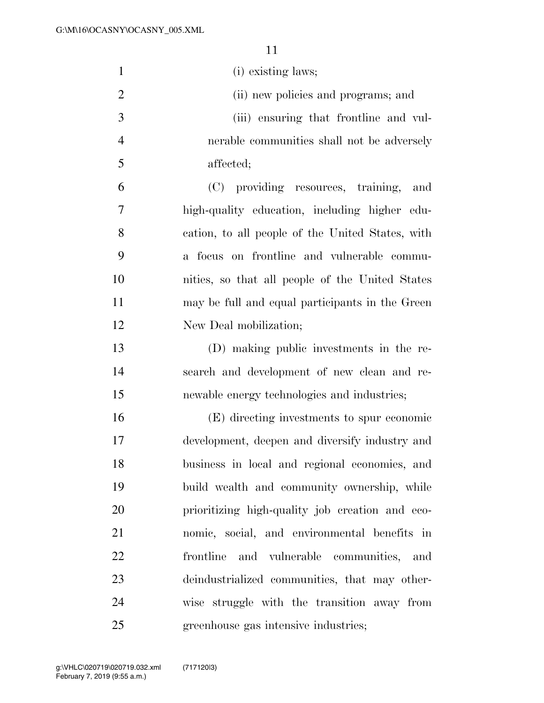| $\mathbf{1}$   | (i) existing laws;                               |
|----------------|--------------------------------------------------|
| $\overline{2}$ | (ii) new policies and programs; and              |
| 3              | (iii) ensuring that frontline and vul-           |
| $\overline{4}$ | nerable communities shall not be adversely       |
| 5              | affected;                                        |
| 6              | (C) providing resources, training,<br>and        |
| 7              | high-quality education, including higher edu-    |
| 8              | cation, to all people of the United States, with |
| 9              | a focus on frontline and vulnerable commu-       |
| 10             | nities, so that all people of the United States  |
| 11             | may be full and equal participants in the Green  |
| 12             | New Deal mobilization;                           |
| 13             | (D) making public investments in the re-         |
| 14             | search and development of new clean and re-      |
| 15             | newable energy technologies and industries;      |
| 16             | (E) directing investments to spur economic       |
| 17             | development, deepen and diversify industry and   |
| 18             | business in local and regional economies, and    |
| 19             | build wealth and community ownership, while      |
| 20             | prioritizing high-quality job creation and eco-  |
| 21             | nomic, social, and environmental benefits in     |
| 22             | and vulnerable communities, and<br>frontline     |
| 23             | deindustrialized communities, that may other-    |
| 24             | wise struggle with the transition away from      |
| 25             | greenhouse gas intensive industries;             |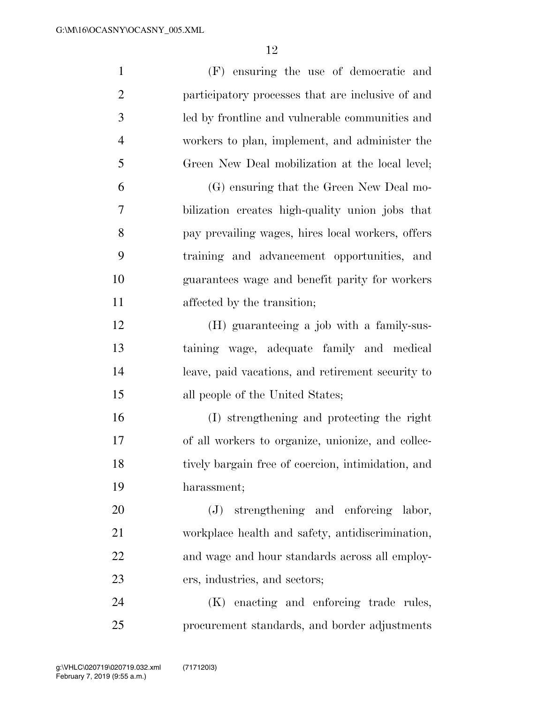| $\mathbf{1}$   | (F) ensuring the use of democratic and             |
|----------------|----------------------------------------------------|
| $\overline{c}$ | participatory processes that are inclusive of and  |
| 3              | led by frontline and vulnerable communities and    |
| $\overline{4}$ | workers to plan, implement, and administer the     |
| 5              | Green New Deal mobilization at the local level;    |
| 6              | (G) ensuring that the Green New Deal mo-           |
| 7              | bilization creates high-quality union jobs that    |
| 8              | pay prevailing wages, hires local workers, offers  |
| 9              | training and advancement opportunities, and        |
| 10             | guarantees wage and benefit parity for workers     |
| 11             | affected by the transition;                        |
| 12             | (H) guaranteeing a job with a family-sus-          |
| 13             | taining wage, adequate family and medical          |
| 14             | leave, paid vacations, and retirement security to  |
| 15             | all people of the United States;                   |
| 16             | (I) strengthening and protecting the right         |
| 17             | of all workers to organize, unionize, and collec-  |
| 18             | tively bargain free of coercion, intimidation, and |
| 19             | harassment;                                        |
| 20             | strengthening and enforcing labor,<br>(J)          |
| 21             | workplace health and safety, antidiscrimination,   |
| 22             | and wage and hour standards across all employ-     |
| 23             | ers, industries, and sectors;                      |
| 24             | enacting and enforcing trade rules,<br>(K)         |
| 25             | procurement standards, and border adjustments      |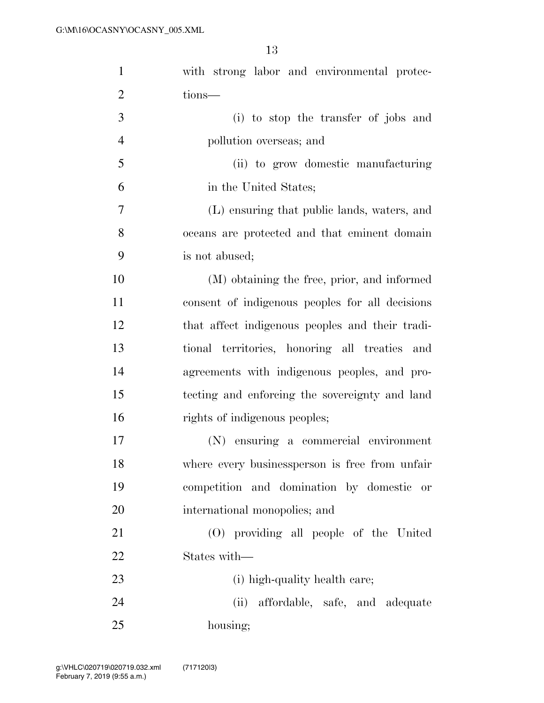| $\mathbf{1}$   | with strong labor and environmental protec-     |
|----------------|-------------------------------------------------|
| $\overline{2}$ | tions-                                          |
| 3              | (i) to stop the transfer of jobs and            |
| $\overline{4}$ | pollution overseas; and                         |
| 5              | (ii) to grow domestic manufacturing             |
| 6              | in the United States;                           |
| 7              | (L) ensuring that public lands, waters, and     |
| 8              | oceans are protected and that eminent domain    |
| 9              | is not abused;                                  |
| 10             | (M) obtaining the free, prior, and informed     |
| 11             | consent of indigenous peoples for all decisions |
| 12             | that affect indigenous peoples and their tradi- |
| 13             | tional territories, honoring all treaties and   |
| 14             | agreements with indigenous peoples, and pro-    |
| 15             | tecting and enforcing the sovereignty and land  |
| 16             | rights of indigenous peoples;                   |
| 17             | (N) ensuring a commercial environment           |
| 18             | where every businessperson is free from unfair  |
| 19             | competition and domination by domestic or       |
| 20             | international monopolies; and                   |
| 21             | (O) providing all people of the United          |
| 22             | States with—                                    |
| 23             | (i) high-quality health care;                   |
| 24             | (ii) affordable, safe, and adequate             |
| 25             | housing;                                        |